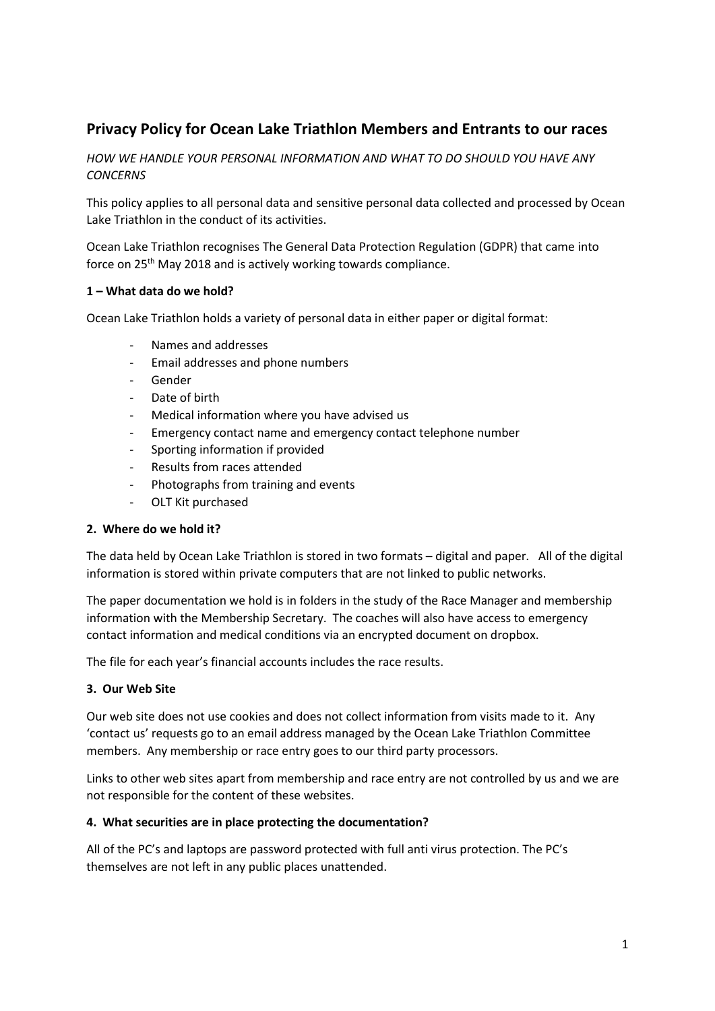# **Privacy Policy for Ocean Lake Triathlon Members and Entrants to our races**

*HOW WE HANDLE YOUR PERSONAL INFORMATION AND WHAT TO DO SHOULD YOU HAVE ANY CONCERNS*

This policy applies to all personal data and sensitive personal data collected and processed by Ocean Lake Triathlon in the conduct of its activities.

Ocean Lake Triathlon recognises The General Data Protection Regulation (GDPR) that came into force on 25<sup>th</sup> May 2018 and is actively working towards compliance.

## **1 – What data do we hold?**

Ocean Lake Triathlon holds a variety of personal data in either paper or digital format:

- Names and addresses
- Email addresses and phone numbers
- Gender
- Date of birth
- Medical information where you have advised us
- Emergency contact name and emergency contact telephone number
- Sporting information if provided
- Results from races attended
- Photographs from training and events
- OLT Kit purchased

## **2. Where do we hold it?**

The data held by Ocean Lake Triathlon is stored in two formats – digital and paper. All of the digital information is stored within private computers that are not linked to public networks.

The paper documentation we hold is in folders in the study of the Race Manager and membership information with the Membership Secretary. The coaches will also have access to emergency contact information and medical conditions via an encrypted document on dropbox.

The file for each year's financial accounts includes the race results.

## **3. Our Web Site**

Our web site does not use cookies and does not collect information from visits made to it. Any 'contact us' requests go to an email address managed by the Ocean Lake Triathlon Committee members. Any membership or race entry goes to our third party processors.

Links to other web sites apart from membership and race entry are not controlled by us and we are not responsible for the content of these websites.

## **4. What securities are in place protecting the documentation?**

All of the PC's and laptops are password protected with full anti virus protection. The PC's themselves are not left in any public places unattended.